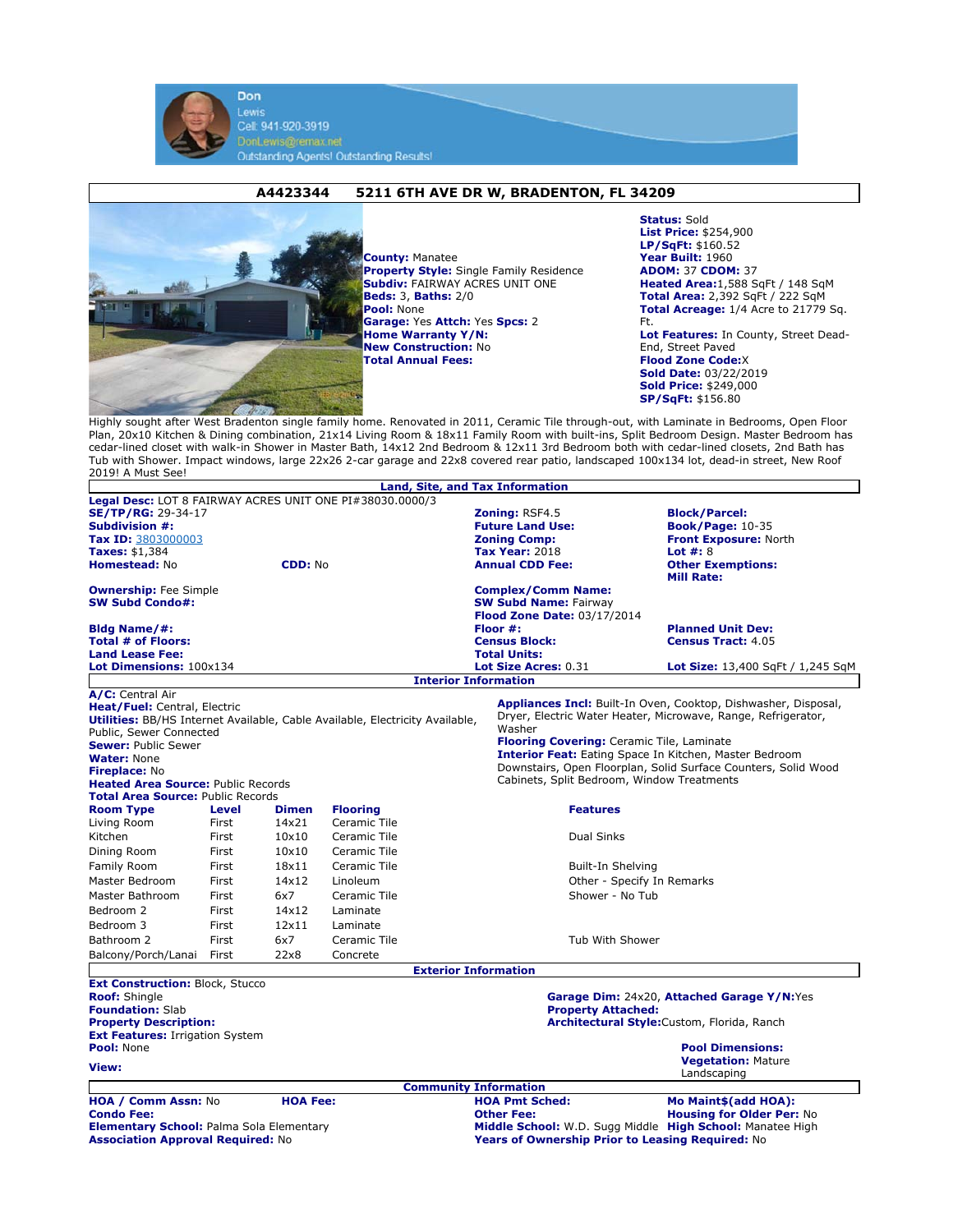



**County:** Manatee **Property Style:** Single Family Residence **Subdiv:** FAIRWAY ACRES UNIT ONE **Beds:** 3, **Baths:** 2/0 **Pool:** None **Garage:** Yes **Attch:** Yes **Spcs:** 2 **Home Warranty Y/N: New Construction:** No **Total Annual Fees:**

**Status:** Sold **List Price:** \$254,900 **LP/SqFt:** \$160.52 **Year Built:** 1960 **ADOM:** 37 **CDOM:** 37 **Heated Area:**1,588 SqFt / 148 SqM **Total Area:** 2,392 SqFt / 222 SqM **Total Acreage:** 1/4 Acre to 21779 Sq. Ft. **Lot Features:** In County, Street Dead-End, Street Paved **Flood Zone Code:**X **Sold Date:** 03/22/2019 **Sold Price:** \$249,000 **SP/SqFt:** \$156.80

Highly sought after West Bradenton single family home. Renovated in 2011, Ceramic Tile through-out, with Laminate in Bedrooms, Open Floor Plan, 20x10 Kitchen & Dining combination, 21x14 Living Room & 18x11 Family Room with built-ins, Split Bedroom Design. Master Bedroom has cedar-lined closet with walk-in Shower in Master Bath, 14x12 2nd Bedroom & 12x11 3rd Bedroom both with cedar-lined closets, 2nd Bath has Tub with Shower. Impact windows, large 22x26 2-car garage and 22x8 covered rear patio, landscaped 100x134 lot, dead-in street, New Roof 2019! A Must See!

|                                                                                     |                                                 |              |                 |                             | <b>Land, Site, and Tax Information</b>                                                                       |                                                                       |  |
|-------------------------------------------------------------------------------------|-------------------------------------------------|--------------|-----------------|-----------------------------|--------------------------------------------------------------------------------------------------------------|-----------------------------------------------------------------------|--|
| Legal Desc: LOT 8 FAIRWAY ACRES UNIT ONE PI#38030.0000/3                            |                                                 |              |                 |                             |                                                                                                              |                                                                       |  |
| <b>SE/TP/RG: 29-34-17</b>                                                           |                                                 |              |                 |                             | <b>Zoning: RSF4.5</b>                                                                                        | <b>Block/Parcel:</b>                                                  |  |
| <b>Subdivision #:</b>                                                               |                                                 |              |                 |                             | <b>Future Land Use:</b>                                                                                      | <b>Book/Page: 10-35</b>                                               |  |
| Tax ID: 3803000003                                                                  |                                                 |              |                 |                             | <b>Zoning Comp:</b>                                                                                          | <b>Front Exposure: North</b>                                          |  |
| <b>Taxes: \$1,384</b>                                                               |                                                 |              |                 |                             | <b>Tax Year: 2018</b>                                                                                        | Lot $#: 8$                                                            |  |
| <b>Homestead: No</b><br><b>CDD: No</b>                                              |                                                 |              |                 |                             | <b>Annual CDD Fee:</b><br><b>Other Exemptions:</b><br><b>Mill Rate:</b>                                      |                                                                       |  |
| <b>Ownership:</b> Fee Simple<br><b>SW Subd Condo#:</b>                              |                                                 |              |                 |                             | <b>Complex/Comm Name:</b>                                                                                    |                                                                       |  |
|                                                                                     |                                                 |              |                 |                             | <b>SW Subd Name: Fairway</b>                                                                                 |                                                                       |  |
|                                                                                     |                                                 |              |                 |                             | <b>Flood Zone Date: 03/17/2014</b>                                                                           |                                                                       |  |
| <b>Bldg Name/#:</b><br><b>Total # of Floors:</b>                                    |                                                 |              |                 |                             | Floor #:<br><b>Planned Unit Dev:</b><br><b>Census Tract: 4.05</b><br><b>Census Block:</b>                    |                                                                       |  |
| <b>Land Lease Fee:</b>                                                              |                                                 |              |                 |                             | <b>Total Units:</b>                                                                                          |                                                                       |  |
| Lot Dimensions: 100x134                                                             |                                                 |              |                 |                             | Lot Size Acres: 0.31                                                                                         | <b>Lot Size:</b> 13,400 SqFt / 1,245 SqM                              |  |
|                                                                                     |                                                 |              |                 | <b>Interior Information</b> |                                                                                                              |                                                                       |  |
| A/C: Central Air                                                                    |                                                 |              |                 |                             |                                                                                                              |                                                                       |  |
| Heat/Fuel: Central, Electric                                                        |                                                 |              |                 |                             |                                                                                                              | <b>Appliances Incl:</b> Built-In Oven, Cooktop, Dishwasher, Disposal, |  |
| <b>Utilities:</b> BB/HS Internet Available, Cable Available, Electricity Available, |                                                 |              |                 |                             | Dryer, Electric Water Heater, Microwave, Range, Refrigerator,                                                |                                                                       |  |
| Public, Sewer Connected                                                             |                                                 |              |                 |                             | Washer                                                                                                       |                                                                       |  |
| <b>Sewer: Public Sewer</b>                                                          |                                                 |              |                 |                             | <b>Flooring Covering:</b> Ceramic Tile, Laminate                                                             |                                                                       |  |
| <b>Water: None</b>                                                                  |                                                 |              |                 |                             | <b>Interior Feat:</b> Eating Space In Kitchen, Master Bedroom                                                |                                                                       |  |
| <b>Fireplace: No</b>                                                                |                                                 |              |                 |                             | Downstairs, Open Floorplan, Solid Surface Counters, Solid Wood<br>Cabinets, Split Bedroom, Window Treatments |                                                                       |  |
| <b>Heated Area Source: Public Records</b>                                           |                                                 |              |                 |                             |                                                                                                              |                                                                       |  |
| <b>Total Area Source: Public Records</b>                                            |                                                 |              |                 |                             |                                                                                                              |                                                                       |  |
| <b>Room Type</b>                                                                    | <b>Level</b>                                    | <b>Dimen</b> | <b>Flooring</b> |                             | <b>Features</b>                                                                                              |                                                                       |  |
| Living Room                                                                         | First                                           | 14x21        | Ceramic Tile    |                             |                                                                                                              |                                                                       |  |
| Kitchen                                                                             | First                                           | 10×10        | Ceramic Tile    |                             | Dual Sinks                                                                                                   |                                                                       |  |
| Dining Room                                                                         | First                                           | 10×10        | Ceramic Tile    |                             |                                                                                                              |                                                                       |  |
| Family Room                                                                         | First                                           | 18x11        | Ceramic Tile    |                             | Built-In Shelving                                                                                            |                                                                       |  |
| Master Bedroom                                                                      | First                                           | 14x12        | Linoleum        |                             | Other - Specify In Remarks                                                                                   |                                                                       |  |
| Master Bathroom                                                                     | First                                           | 6x7          | Ceramic Tile    |                             | Shower - No Tub                                                                                              |                                                                       |  |
| Bedroom 2                                                                           | First                                           | 14×12        | Laminate        |                             |                                                                                                              |                                                                       |  |
| Bedroom 3                                                                           | First                                           | 12x11        | Laminate        |                             |                                                                                                              |                                                                       |  |
| Bathroom 2                                                                          | First                                           | 6x7          | Ceramic Tile    |                             | Tub With Shower                                                                                              |                                                                       |  |
| Balcony/Porch/Lanai                                                                 | First                                           | 22x8         | Concrete        |                             |                                                                                                              |                                                                       |  |
|                                                                                     |                                                 |              |                 | <b>Exterior Information</b> |                                                                                                              |                                                                       |  |
| <b>Ext Construction: Block, Stucco</b>                                              |                                                 |              |                 |                             |                                                                                                              |                                                                       |  |
| <b>Roof: Shingle</b>                                                                |                                                 |              |                 |                             | Garage Dim: 24x20, Attached Garage Y/N:Yes                                                                   |                                                                       |  |
| <b>Foundation: Slab</b>                                                             |                                                 |              |                 |                             | <b>Property Attached:</b>                                                                                    |                                                                       |  |
| <b>Property Description:</b>                                                        |                                                 |              |                 |                             |                                                                                                              | Architectural Style: Custom, Florida, Ranch                           |  |
| <b>Ext Features: Irrigation System</b><br>Pool: None                                |                                                 |              |                 |                             |                                                                                                              | <b>Pool Dimensions:</b>                                               |  |
|                                                                                     |                                                 |              |                 |                             |                                                                                                              | <b>Vegetation: Mature</b>                                             |  |
| View:                                                                               |                                                 |              |                 |                             |                                                                                                              | Landscaping                                                           |  |
|                                                                                     |                                                 |              |                 |                             | <b>Community Information</b>                                                                                 |                                                                       |  |
| HOA / Comm Assn: No<br><b>HOA Fee:</b>                                              |                                                 |              |                 |                             | <b>HOA Pmt Sched:</b><br>Mo Maint\$(add HOA):                                                                |                                                                       |  |
| <b>Condo Fee:</b>                                                                   |                                                 |              |                 |                             | <b>Other Fee:</b>                                                                                            | <b>Housing for Older Per: No</b>                                      |  |
|                                                                                     | <b>Elementary School: Palma Sola Elementary</b> |              |                 |                             | Middle School: W.D. Sugg Middle High School: Manatee High                                                    |                                                                       |  |
| <b>Association Approval Required: No</b>                                            |                                                 |              |                 |                             | Years of Ownership Prior to Leasing Required: No                                                             |                                                                       |  |